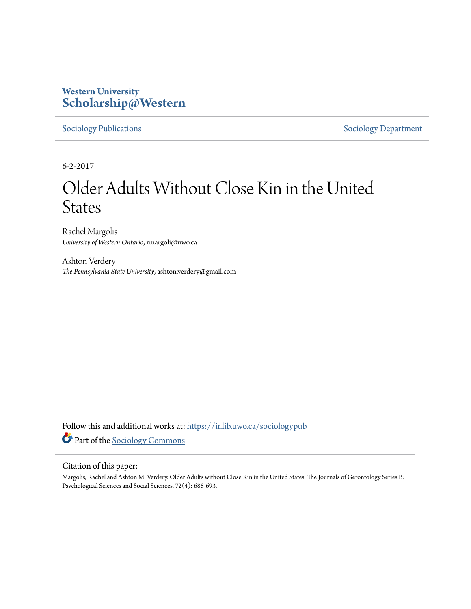## **Western University [Scholarship@Western](https://ir.lib.uwo.ca?utm_source=ir.lib.uwo.ca%2Fsociologypub%2F44&utm_medium=PDF&utm_campaign=PDFCoverPages)**

[Sociology Publications](https://ir.lib.uwo.ca/sociologypub?utm_source=ir.lib.uwo.ca%2Fsociologypub%2F44&utm_medium=PDF&utm_campaign=PDFCoverPages) [Sociology Department](https://ir.lib.uwo.ca/sociology?utm_source=ir.lib.uwo.ca%2Fsociologypub%2F44&utm_medium=PDF&utm_campaign=PDFCoverPages)

6-2-2017

# Older Adults Without Close Kin in the United States

Rachel Margolis *University of Western Ontario*, rmargoli@uwo.ca

Ashton Verdery *The Pennsylvania State University*, ashton.verdery@gmail.com

Follow this and additional works at: [https://ir.lib.uwo.ca/sociologypub](https://ir.lib.uwo.ca/sociologypub?utm_source=ir.lib.uwo.ca%2Fsociologypub%2F44&utm_medium=PDF&utm_campaign=PDFCoverPages) Part of the [Sociology Commons](http://network.bepress.com/hgg/discipline/416?utm_source=ir.lib.uwo.ca%2Fsociologypub%2F44&utm_medium=PDF&utm_campaign=PDFCoverPages)

#### Citation of this paper:

Margolis, Rachel and Ashton M. Verdery. Older Adults without Close Kin in the United States. The Journals of Gerontology Series B: Psychological Sciences and Social Sciences. 72(4): 688-693.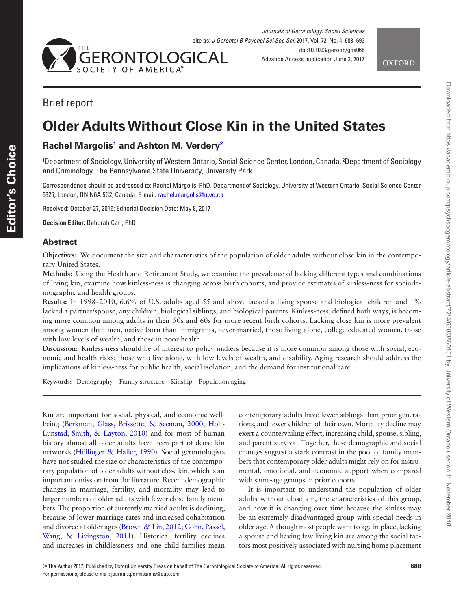



## Brief report

## **Older Adults Without Close Kin in the United States**

### **Rachel Margoli[s1](#page-1-0) and Ashton M. Verdery[2](#page-1-1)**

<span id="page-1-1"></span><span id="page-1-0"></span>1 Department of Sociology, University of Western Ontario, Social Science Center, London, Canada. 2 Department of Sociology and Criminology, The Pennsylvania State University, University Park.

Correspondence should be addressed to: Rachel Margolis, PhD, Department of Sociology, University of Western Ontario, Social Science Center 5326, London, ON N6A 5C2, Canada. E-mail: [rachel.margolis@uwo.ca](mailto:rachel.margolis@uwo.ca?subject=)

Received: October 27, 2016; Editorial Decision Date: May 8, 2017

**Decision Editor:** Deborah Carr, PhD

#### **Abstract**

**Objectives:** We document the size and characteristics of the population of older adults without close kin in the contemporary United States.

**Methods:** Using the Health and Retirement Study, we examine the prevalence of lacking different types and combinations of living kin, examine how kinless-ness is changing across birth cohorts, and provide estimates of kinless-ness for sociodemographic and health groups.

**Results:** In 1998–2010, 6.6% of U.S. adults aged 55 and above lacked a living spouse and biological children and 1% lacked a partner/spouse, any children, biological siblings, and biological parents. Kinless-ness, defined both ways, is becoming more common among adults in their 50s and 60s for more recent birth cohorts. Lacking close kin is more prevalent among women than men, native born than immigrants, never-married, those living alone, college-educated women, those with low levels of wealth, and those in poor health.

**Discussion:** Kinless-ness should be of interest to policy makers because it is more common among those with social, economic and health risks; those who live alone, with low levels of wealth, and disability. Aging research should address the implications of kinless-ness for public health, social isolation, and the demand for institutional care.

**Keywords:** Demography—Family structure—Kinship—Population aging

Kin are important for social, physical, and economic wellbeing [\(Berkman, Glass, Brissette, & Seeman, 2000;](#page-5-0) [Holt-](#page-5-1)[Lunstad, Smith, & Layton, 2010\)](#page-5-1) and for most of human history almost all older adults have been part of dense kin networks [\(Höllinger & Haller, 1990\)](#page-5-2). Social gerontologists have not studied the size or characteristics of the contemporary population of older adults without close kin, which is an important omission from the literature. Recent demographic changes in marriage, fertility, and mortality may lead to larger numbers of older adults with fewer close family members. The proportion of currently married adults is declining, because of lower marriage rates and increased cohabitation and divorce at older ages ([Brown & Lin, 2012;](#page-5-3) [Cohn, Passel,](#page-5-4)  [Wang, & Livingston, 2011\)](#page-5-4). Historical fertility declines and increases in childlessness and one child families mean contemporary adults have fewer siblings than prior generations, and fewer children of their own. Mortality decline may exert a countervailing effect, increasing child, spouse, sibling, and parent survival. Together, these demographic and social changes suggest a stark contrast in the pool of family members that contemporary older adults might rely on for instrumental, emotional, and economic support when compared with same-age groups in prior cohorts.

It is important to understand the population of older adults without close kin, the characteristics of this group, and how it is changing over time because the kinless may be an extremely disadvantaged group with special needs in older age. Although most people want to age in place, lacking a spouse and having few living kin are among the social factors most positively associated with nursing home placement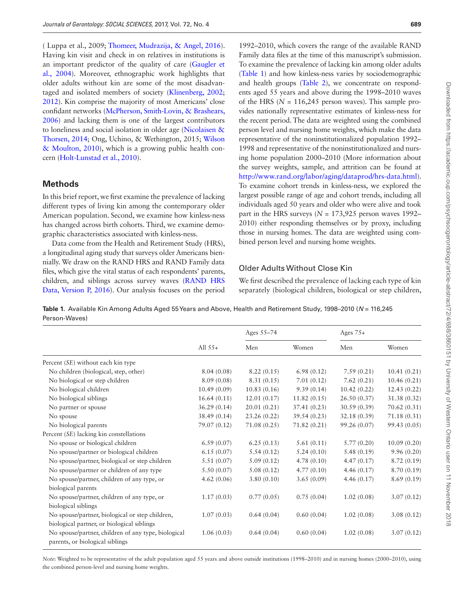( Luppa et al., 2009; [Thomeer, Mudrazija, & Angel, 2016](#page-6-0)). Having kin visit and check in on relatives in institutions is an important predictor of the quality of care [\(Gaugler et](#page-5-5)  [al., 2004\)](#page-5-5). Moreover, ethnographic work highlights that older adults without kin are some of the most disadvantaged and isolated members of society [\(Klinenberg, 2002](#page-5-6); [2012\)](#page-5-7). Kin comprise the majority of most Americans' close confidant networks ([McPherson, Smith-Lovin, & Brashears,](#page-5-8)  [2006\)](#page-5-8) and lacking them is one of the largest contributors to loneliness and social isolation in older age [\(Nicolaisen &](#page-6-1)  [Thorsen, 2014](#page-6-1); Ong, Uchino, & Wethington, 2015; [Wilson](#page-6-2)  [& Moulton, 2010](#page-6-2)), which is a growing public health concern ([Holt-Lunstad et al., 2010\)](#page-5-1).

#### **Methods**

In this brief report, we first examine the prevalence of lacking different types of living kin among the contemporary older American population. Second, we examine how kinless-ness has changed across birth cohorts. Third, we examine demographic characteristics associated with kinless-ness.

Data come from the Health and Retirement Study (HRS), a longitudinal aging study that surveys older Americans biennially. We draw on the RAND HRS and RAND Family data files, which give the vital status of each respondents' parents, children, and siblings across survey waves [\(RAND HRS](#page-6-3)  [Data, Version P, 2016](#page-6-3)). Our analysis focuses on the period

1992–2010, which covers the range of the available RAND Family data files at the time of this manuscript's submission. To examine the prevalence of lacking kin among older adults ([Table 1](#page-2-0)) and how kinless-ness varies by sociodemographic and health groups ([Table 2](#page-3-0)), we concentrate on respondents aged 55 years and above during the 1998–2010 waves of the HRS ( $N = 116,245$  person waves). This sample provides nationally representative estimates of kinless-ness for the recent period. The data are weighted using the combined person level and nursing home weights, which make the data representative of the noninstitutionalized population 1992– 1998 and representative of the noninstitutionalized and nursing home population 2000–2010 (More information about the survey weights, sample, and attrition can be found at <http://www.rand.org/labor/aging/dataprod/hrs-data.html>). To examine cohort trends in kinless-ness, we explored the largest possible range of age and cohort trends, including all individuals aged 50 years and older who were alive and took part in the HRS surveys ( $N = 173,925$  person waves 1992– 2010) either responding themselves or by proxy, including those in nursing homes. The data are weighted using combined person level and nursing home weights.

#### Older Adults Without Close Kin

We first described the prevalence of lacking each type of kin separately (biological children, biological or step children,

<span id="page-2-0"></span>**Table 1.** Available Kin Among Adults Aged 55 Years and Above, Health and Retirement Study, 1998–2010 (*N* = 116,245 Person-Waves)

|                                                                                        | All $55+$    | Ages 55-74   |             | Ages $75+$    |              |
|----------------------------------------------------------------------------------------|--------------|--------------|-------------|---------------|--------------|
|                                                                                        |              | Men          | Women       | Men           | Women        |
| Percent (SE) without each kin type                                                     |              |              |             |               |              |
| No children (biological, step, other)                                                  | 8.04(0.08)   | 8.22(0.15)   | 6.98(0.12)  | 7.59(0.21)    | 10.41(0.21)  |
| No biological or step children                                                         | 8.09(0.08)   | 8.31(0.15)   | 7.01(0.12)  | 7.62(0.21)    | 10.46(0.21)  |
| No biological children                                                                 | 10.49(0.09)  | 10.83(0.16)  | 9.39(0.14)  | 10.42(0.22)   | 12.43(0.22)  |
| No biological siblings                                                                 | 16.64(0.11)  | 12.01(0.17)  | 11.82(0.15) | 26.50(0.37)   | 31.38 (0.32) |
| No partner or spouse                                                                   | 36.29(0.14)  | 20.01(0.21)  | 37.41(0.23) | 30.59(0.39)   | 70.62 (0.31) |
| No spouse                                                                              | 38.49(0.14)  | 23.26 (0.22) | 39.54(0.23) | 32.18 (0.39)  | 71.18(0.31)  |
| No biological parents                                                                  | 79.07 (0.12) | 71.08 (0.25) | 71.82(0.21) | 99.26 (0.07)  | 99.43 (0.05) |
| Percent (SE) lacking kin constellations                                                |              |              |             |               |              |
| No spouse or biological children                                                       | 6.59(0.07)   | 6.25(0.13)   | 5.61(0.11)  | 5.77(0.20)    | 10.09(0.20)  |
| No spouse/partner or biological children                                               | 6.15(0.07)   | 5.54(0.12)   | 5.24(0.10)  | 5.48(0.19)    | 9.96(0.20)   |
| No spouse/partner, biological or step children                                         | 5.51(0.07)   | 5.09(0.12)   | 4.78(0.10)  | 4.47(0.17)    | 8.72(0.19)   |
| No spouse/partner or children of any type                                              | 5.50(0.07)   | 5.08(0.12)   | 4.77(0.10)  | 4.46 $(0.17)$ | 8.70 (0.19)  |
| No spouse/partner, children of any type, or                                            | 4.62(0.06)   | 3.80(0.10)   | 3.65(0.09)  | 4.46(0.17)    | 8.69(0.19)   |
| biological parents                                                                     |              |              |             |               |              |
| No spouse/partner, children of any type, or                                            | 1.17(0.03)   | 0.77(0.05)   | 0.75(0.04)  | 1.02(0.08)    | 3.07(0.12)   |
| biological siblings                                                                    |              |              |             |               |              |
| No spouse/partner, biological or step children,                                        | 1.07(0.03)   | 0.64(0.04)   | 0.60(0.04)  | 1.02(0.08)    | 3.08(0.12)   |
| biological partner, or biological siblings                                             |              |              |             |               |              |
| No spouse/partner, children of any type, biological<br>parents, or biological siblings | 1.06(0.03)   | 0.64(0.04)   | 0.60(0.04)  | 1.02(0.08)    | 3.07(0.12)   |

*Note*: Weighted to be representative of the adult population aged 55 years and above outside institutions (1998–2010) and in nursing homes (2000–2010), using the combined person-level and nursing home weights.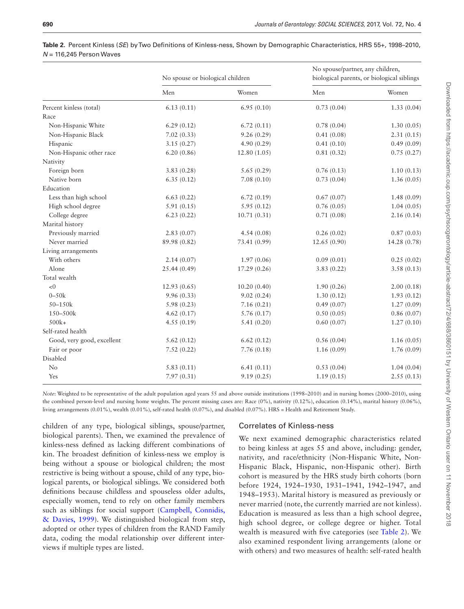|                            | No spouse or biological children |              | No spouse/partner, any children,<br>biological parents, or biological siblings |              |  |
|----------------------------|----------------------------------|--------------|--------------------------------------------------------------------------------|--------------|--|
|                            | Men                              | Women        | Men                                                                            | Women        |  |
| Percent kinless (total)    | 6.13(0.11)                       | 6.95(0.10)   | 0.73(0.04)                                                                     | 1.33(0.04)   |  |
| Race                       |                                  |              |                                                                                |              |  |
| Non-Hispanic White         | 6.29(0.12)                       | 6.72(0.11)   | 0.78(0.04)                                                                     | 1.30(0.05)   |  |
| Non-Hispanic Black         | 7.02(0.33)                       | 9.26(0.29)   | 0.41(0.08)                                                                     | 2.31(0.15)   |  |
| Hispanic                   | 3.15(0.27)                       | 4.90(0.29)   | 0.41(0.10)                                                                     | 0.49(0.09)   |  |
| Non-Hispanic other race    | 6.20(0.86)                       | 12.80(1.05)  | 0.81(0.32)                                                                     | 0.75(0.27)   |  |
| Nativity                   |                                  |              |                                                                                |              |  |
| Foreign born               | 3.83(0.28)                       | 5.65(0.29)   | 0.76(0.13)                                                                     | 1.10(0.13)   |  |
| Native born                | 6.35(0.12)                       | 7.08(0.10)   | 0.73(0.04)                                                                     | 1.36(0.05)   |  |
| Education                  |                                  |              |                                                                                |              |  |
| Less than high school      | 6.63(0.22)                       | 6.72(0.19)   | 0.67(0.07)                                                                     | 1.48(0.09)   |  |
| High school degree         | 5.91(0.15)                       | 5.95(0.12)   | 0.76(0.05)                                                                     | 1.04(0.05)   |  |
| College degree             | 6.23(0.22)                       | 10.71(0.31)  | 0.71(0.08)                                                                     | 2.16(0.14)   |  |
| Marital history            |                                  |              |                                                                                |              |  |
| Previously married         | 2.83(0.07)                       | 4.54(0.08)   | 0.26(0.02)                                                                     | 0.87(0.03)   |  |
| Never married              | 89.98 (0.82)                     | 73.41 (0.99) | 12.65(0.90)                                                                    | 14.28 (0.78) |  |
| Living arrangements        |                                  |              |                                                                                |              |  |
| With others                | 2.14(0.07)                       | 1.97(0.06)   | 0.09(0.01)                                                                     | 0.25(0.02)   |  |
| Alone                      | 25.44 (0.49)                     | 17.29(0.26)  | 3.83(0.22)                                                                     | 3.58(0.13)   |  |
| Total wealth               |                                  |              |                                                                                |              |  |
| < 0                        | 12.93(0.65)                      | 10.20(0.40)  | 1.90(0.26)                                                                     | 2.00(0.18)   |  |
| $0 - 50k$                  | 9.96(0.33)                       | 9.02(0.24)   | 1.30(0.12)                                                                     | 1.93(0.12)   |  |
| 50-150k                    | 5.98(0.23)                       | 7.16(0.21)   | 0.49(0.07)                                                                     | 1.27(0.09)   |  |
| 150-500k                   | 4.62(0.17)                       | 5.76(0.17)   | 0.50(0.05)                                                                     | 0.86(0.07)   |  |
| $500k+$                    | 4.55(0.19)                       | 5.41(0.20)   | 0.60(0.07)                                                                     | 1.27(0.10)   |  |
| Self-rated health          |                                  |              |                                                                                |              |  |
| Good, very good, excellent | 5.62(0.12)                       | 6.62(0.12)   | 0.56(0.04)                                                                     | 1.16(0.05)   |  |
| Fair or poor               | 7.52(0.22)                       | 7.76(0.18)   | 1.16(0.09)                                                                     | 1.76(0.09)   |  |
| Disabled                   |                                  |              |                                                                                |              |  |
| No                         | 5.83(0.11)                       | 6.41(0.11)   | 0.53(0.04)                                                                     | 1.04(0.04)   |  |
| Yes                        | 7.97(0.31)                       | 9.19(0.25)   | 1.19(0.15)                                                                     | 2.55(0.13)   |  |

<span id="page-3-0"></span>

| <b>Table 2</b> . Percent Kinless ( <i>SE</i> ) by Two Definitions of Kinless-ness, Shown by Demographic Characteristics, HRS 55+, 1998–2010, |  |  |  |  |
|----------------------------------------------------------------------------------------------------------------------------------------------|--|--|--|--|
| $N = 116.245$ Person Waves                                                                                                                   |  |  |  |  |

*Note*: Weighted to be representative of the adult population aged years 55 and above outside institutions (1998–2010) and in nursing homes (2000–2010), using the combined person-level and nursing home weights. The percent missing cases are: Race (0%), nativity (0.12%), education (0.14%), marital history (0.06%), living arrangements (0.01%), wealth (0.01%), self-rated health (0.07%), and disabled (0.07%). HRS = Health and Retirement Study.

children of any type, biological siblings, spouse/partner, biological parents). Then, we examined the prevalence of kinless-ness defined as lacking different combinations of kin. The broadest definition of kinless-ness we employ is being without a spouse or biological children; the most restrictive is being without a spouse, child of any type, biological parents, or biological siblings. We considered both definitions because childless and spouseless older adults, especially women, tend to rely on other family members such as siblings for social support [\(Campbell, Connidis,](#page-5-9)  [& Davies, 1999](#page-5-9)). We distinguished biological from step, adopted or other types of children from the RAND Family data, coding the modal relationship over different interviews if multiple types are listed.

#### Correlates of Kinless-ness

We next examined demographic characteristics related to being kinless at ages 55 and above, including: gender, nativity, and race/ethnicity (Non-Hispanic White, Non-Hispanic Black, Hispanic, non-Hispanic other). Birth cohort is measured by the HRS study birth cohorts (born before 1924, 1924–1930, 1931–1941, 1942–1947, and 1948–1953). Marital history is measured as previously or never married (note, the currently married are not kinless). Education is measured as less than a high school degree, high school degree, or college degree or higher. Total wealth is measured with five categories (see [Table 2\)](#page-3-0). We also examined respondent living arrangements (alone or with others) and two measures of health: self-rated health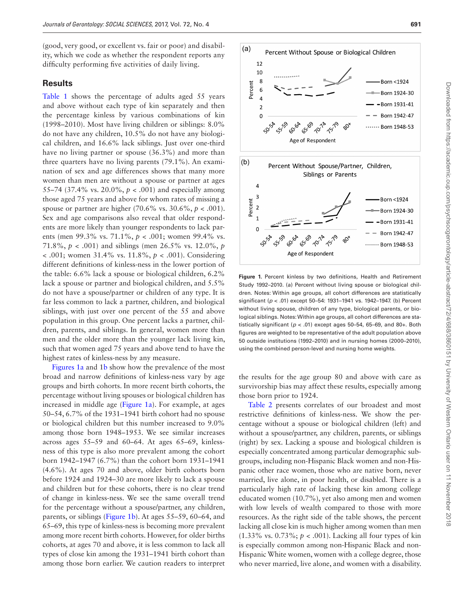(good, very good, or excellent vs. fair or poor) and disability, which we code as whether the respondent reports any difficulty performing five activities of daily living.

#### **Results**

Table 1 shows the percentage of adults aged 55 years and above without each type of kin separately and then the percentage kinless by various combinations of kin (1998–2010). Most have living children or siblings: 8.0% do not have any children, 10.5% do not have any biological children, and 16.6% lack siblings. Just over one-third have no living partner or spouse (36.3%) and more than three quarters have no living parents (79.1%). An examination of sex and age differences shows that many more women than men are without a spouse or partner at ages 55–74 (37.4% vs. 20.0%, *p* < .001) and especially among those aged 75 years and above for whom rates of missing a spouse or partner are higher  $(70.6\% \text{ vs. } 30.6\%, p < .001)$ . Sex and age comparisons also reveal that older respondents are more likely than younger respondents to lack parents (men 99.3% vs. 71.1%, *p* < .001; women 99.4% vs. 71.8%, *p* < .001) and siblings (men 26.5% vs. 12.0%, *p* < .001; women 31.4% vs. 11.8%, *p* < .001). Considering different definitions of kinless-ness in the lower portion of the table: 6.6% lack a spouse or biological children, 6.2% lack a spouse or partner and biological children, and 5.5% do not have a spouse/partner or children of any type. It is far less common to lack a partner, children, and biological siblings, with just over one percent of the 55 and above population in this group. One percent lacks a partner, children, parents, and siblings. In general, women more than men and the older more than the younger lack living kin, such that women aged 75 years and above tend to have the highest rates of kinless-ness by any measure.

[Figures 1a](#page-4-0) and 1[b](#page-4-0) show how the prevalence of the most broad and narrow definitions of kinless-ness vary by age groups and birth cohorts. In more recent birth cohorts, the percentage without living spouses or biological children has increased in middle age ([Figure 1a](#page-4-0)). For example, at ages 50–54, 6.7% of the 1931–1941 birth cohort had no spouse or biological children but this number increased to 9.0% among those born 1948–1953. We see similar increases across ages 55–59 and 60–64. At ages 65–69, kinlessness of this type is also more prevalent among the cohort born 1942–1947 (6.7%) than the cohort born 1931–1941 (4.6%). At ages 70 and above, older birth cohorts born before 1924 and 1924–30 are more likely to lack a spouse and children but for these cohorts, there is no clear trend of change in kinless-ness. We see the same overall trend for the percentage without a spouse/partner, any children, parents, or siblings ([Figure 1b\)](#page-4-0). At ages 55–59, 60–64, and 65–69, this type of kinless-ness is becoming more prevalent among more recent birth cohorts. However, for older births cohorts, at ages 70 and above, it is less common to lack all types of close kin among the 1931–1941 birth cohort than among those born earlier. We caution readers to interpret



<span id="page-4-0"></span>**Figure 1.** Percent kinless by two definitions, Health and Retirement Study 1992–2010. (a) Percent without living spouse or biological children. Notes: Within age groups, all cohort differences are statistically significant (*p* < .01) except 50–54: 1931–1941 vs. 1942–1947. (b) Percent without living spouse, children of any type, biological parents, or biological siblings. Notes: Within age groups, all cohort differences are statistically significant ( $p < .01$ ) except ages 50-54, 65-69, and 80+. Both figures are weighted to be representative of the adult population above 50 outside institutions (1992–2010) and in nursing homes (2000–2010), using the combined person-level and nursing home weights.

the results for the age group 80 and above with care as survivorship bias may affect these results, especially among those born prior to 1924.

Table 2 presents correlates of our broadest and most restrictive definitions of kinless-ness. We show the percentage without a spouse or biological children (left) and without a spouse/partner, any children, parents, or siblings (right) by sex. Lacking a spouse and biological children is especially concentrated among particular demographic subgroups, including non-Hispanic Black women and non-Hispanic other race women, those who are native born, never married, live alone, in poor health, or disabled. There is a particularly high rate of lacking these kin among college educated women (10.7%), yet also among men and women with low levels of wealth compared to those with more resources. As the right side of the table shows, the percent lacking all close kin is much higher among women than men (1.33% vs. 0.73%; *p* < .001). Lacking all four types of kin is especially common among non-Hispanic Black and non-Hispanic White women, women with a college degree, those who never married, live alone, and women with a disability.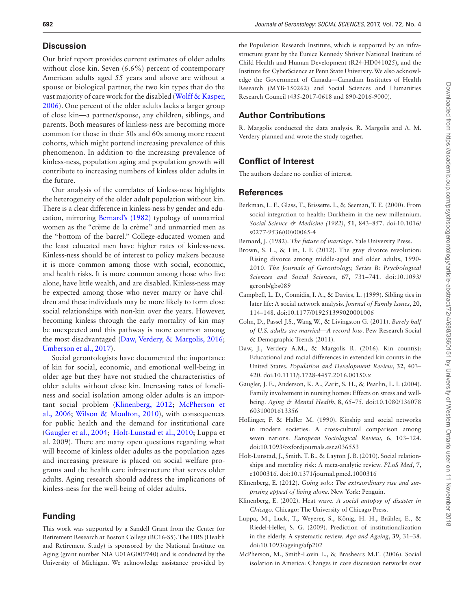#### **Discussion**

Our brief report provides current estimates of older adults without close kin. Seven (6.6%) percent of contemporary American adults aged 55 years and above are without a spouse or biological partner, the two kin types that do the vast majority of care work for the disabled ([Wolff & Kasper,](#page-6-4)  [2006](#page-6-4)). One percent of the older adults lacks a larger group of close kin—a partner/spouse, any children, siblings, and parents. Both measures of kinless-ness are becoming more common for those in their 50s and 60s among more recent cohorts, which might portend increasing prevalence of this phenomenon. In addition to the increasing prevalence of kinless-ness, population aging and population growth will contribute to increasing numbers of kinless older adults in the future.

Our analysis of the correlates of kinless-ness highlights the heterogeneity of the older adult population without kin. There is a clear difference in kinless-ness by gender and education, mirroring [Bernard's \(1982\)](#page-5-10) typology of unmarried women as the "crème de la crème" and unmarried men as the "bottom of the barrel." College-educated women and the least educated men have higher rates of kinless-ness. Kinless-ness should be of interest to policy makers because it is more common among those with social, economic, and health risks. It is more common among those who live alone, have little wealth, and are disabled. Kinless-ness may be expected among those who never marry or have children and these individuals may be more likely to form close social relationships with non-kin over the years. However, becoming kinless through the early mortality of kin may be unexpected and this pathway is more common among the most disadvantaged ([Daw, Verdery, & Margolis, 2016](#page-5-11); [Umberson et al., 2017](#page-6-5)).

Social gerontologists have documented the importance of kin for social, economic, and emotional well-being in older age but they have not studied the characteristics of older adults without close kin. Increasing rates of loneliness and social isolation among older adults is an important social problem [\(Klinenberg, 2012](#page-5-7); [McPherson et](#page-5-8)  [al., 2006](#page-5-8); [Wilson & Moulton, 2010\)](#page-6-2), with consequences for public health and the demand for institutional care ([Gaugler et al., 2004;](#page-5-5) [Holt-Lunstad et al., 2010;](#page-5-1) Luppa et al. 2009). There are many open questions regarding what will become of kinless older adults as the population ages and increasing pressure is placed on social welfare programs and the health care infrastructure that serves older adults. Aging research should address the implications of kinless-ness for the well-being of older adults.

#### **Funding**

This work was supported by a Sandell Grant from the Center for Retirement Research at Boston College (BC16-S5). The HRS (Health and Retirement Study) is sponsored by the National Institute on Aging (grant number NIA U01AG009740) and is conducted by the University of Michigan. We acknowledge assistance provided by

the Population Research Institute, which is supported by an infrastructure grant by the Eunice Kennedy Shriver National Institute of Child Health and Human Development (R24-HD041025), and the Institute for CyberScience at Penn State University. We also acknowledge the Government of Canada—Canadian Institutes of Health Research (MYB-150262) and Social Sciences and Humanities Research Council (435-2017-0618 and 890-2016-9000).

#### **Author Contributions**

R. Margolis conducted the data analysis. R. Margolis and A. M. Verdery planned and wrote the study together.

#### **Conflict of Interest**

The authors declare no conflict of interest.

#### **References**

- <span id="page-5-0"></span>Berkman, L. F., Glass, T., Brissette, I., & Seeman, T. E. (2000). From social integration to health: Durkheim in the new millennium. *Social Science & Medicine (1982)*, **51**, 843–857. doi:10.1016/ s0277-9536(00)00065-4
- <span id="page-5-10"></span>Bernard, J. (1982). *The future of marriage*. Yale University Press.
- <span id="page-5-3"></span>Brown, S. L., & Lin, I. F. (2012). The gray divorce revolution: Rising divorce among middle-aged and older adults, 1990- 2010. *The Journals of Gerontology, Series B: Psychological Sciences and Social Sciences*, **67**, 731–741. doi:10.1093/ geronb/gbs089
- <span id="page-5-9"></span>Campbell, L. D., Connidis, I. A., & Davies, L. (1999). Sibling ties in later life: A social network analysis. *Journal of Family Issues*, **20**, 114–148. doi:10.1177/019251399020001006
- <span id="page-5-4"></span>Cohn, D., Passel J.S., Wang W., & Livingston G. (2011). *Barely half of U.S. adults are married—A record low*. Pew Research Social & Demographic Trends (2011).
- <span id="page-5-11"></span>Daw, J., Verdery A.M., & Margolis R. (2016). Kin count(s): Educational and racial differences in extended kin counts in the United States. *Population and Development Review*, **32**, 403– 420. doi:10.1111/j.1728-4457.2016.00150.x
- <span id="page-5-5"></span>Gaugler, J. E., Anderson, K. A., Zarit, S. H., & Pearlin, L. I. (2004). Family involvement in nursing homes: Effects on stress and wellbeing. *Aging & Mental Health*, **8**, 65–75. doi:10.1080/136078 60310001613356
- <span id="page-5-2"></span>Höllinger, F. & Haller M. (1990). Kinship and social networks in modern societies: A cross-cultural comparison among seven nations. *European Sociological Review*, **6**, 103–124. doi:10.1093/oxfordjournals.esr.a036553
- <span id="page-5-1"></span>Holt-Lunstad, J., Smith, T. B., & Layton J. B. (2010). Social relationships and mortality risk: A meta-analytic review. *PLoS Med*, **7**, e1000316. doi:10.1371/journal.pmed.1000316
- <span id="page-5-7"></span>Klinenberg, E. (2012). *Going solo: The extraordinary rise and surprising appeal of living alone*. New York: Penguin.
- <span id="page-5-6"></span>Klinenberg, E. (2002). Heat wave. *A social autopsy of disaster in Chicago*. Chicago: The University of Chicago Press.
- Luppa, M., Luck, T., Weyerer, S., König, H. H., Brähler, E., & Riedel-Heller, S. G. (2009). Prediction of institutionalization in the elderly. A systematic review. *Age and Ageing*, **39**, 31–38. doi:10.1093/ageing/afp202
- <span id="page-5-8"></span>McPherson, M., Smith-Lovin L., & Brashears M.E. (2006). Social isolation in America: Changes in core discussion networks over